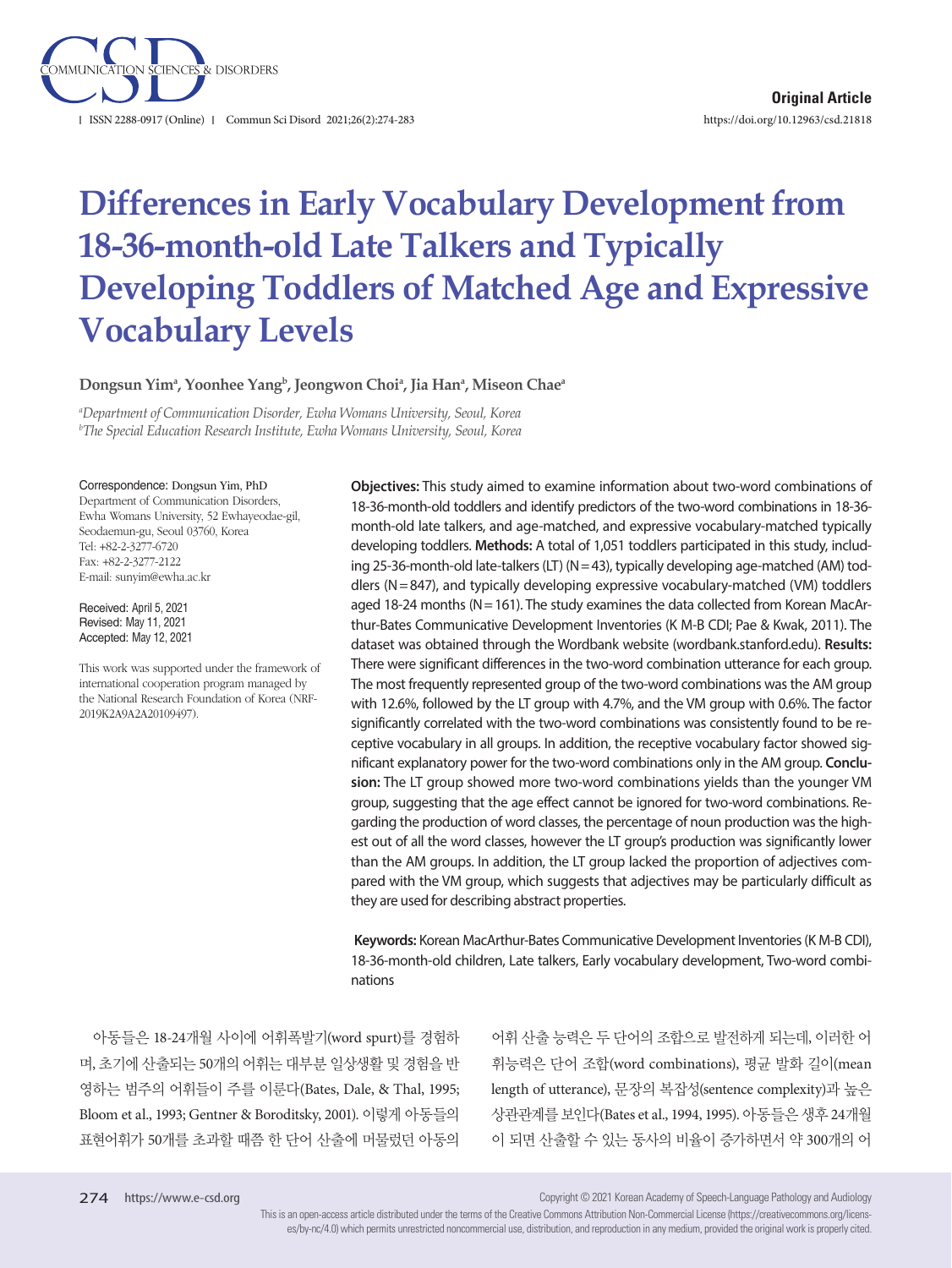

# **Differences in Early Vocabulary Development from 18-36-month-old Late Talkers and Typically Developing Toddlers of Matched Age and Expressive Vocabulary Levels**

Dongsun Yimª, Yoonhee Yang<sup>b</sup>, Jeongwon Choiª, Jia Hanª, Miseon Chaeª

*a Department of Communication Disorder, Ewha Womans University, Seoul, Korea b The Special Education Research Institute, Ewha Womans University, Seoul, Korea*

#### Correspondence: Dongsun Yim, PhD

Department of Communication Disorders, Ewha Womans University, 52 Ewhayeodae-gil, Seodaemun-gu, Seoul 03760, Korea Tel: +82-2-3277-6720 Fax: +82-2-3277-2122 E-mail: sunyim@ewha.ac.kr

Received: April 5, 2021 Revised: May 11, 2021 Accepted: May 12, 2021

This work was supported under the framework of international cooperation program managed by the National Research Foundation of Korea (NRF-2019K2A9A2A20109497).

**Objectives:** This study aimed to examine information about two-word combinations of 18-36-month-old toddlers and identify predictors of the two-word combinations in 18-36 month-old late talkers, and age-matched, and expressive vocabulary-matched typically developing toddlers. **Methods:** A total of 1,051 toddlers participated in this study, including 25-36-month-old late-talkers (LT) (N= 43), typically developing age-matched (AM) toddlers ( $N = 847$ ), and typically developing expressive vocabulary-matched (VM) toddlers aged 18-24 months (N= 161). The study examines the data collected from Korean MacArthur-Bates Communicative Development Inventories (K M-B CDI; Pae & Kwak, 2011). The dataset was obtained through the Wordbank website (wordbank.stanford.edu). **Results:** There were significant differences in the two-word combination utterance for each group. The most frequently represented group of the two-word combinations was the AM group with 12.6%, followed by the LT group with 4.7%, and the VM group with 0.6%. The factor significantly correlated with the two-word combinations was consistently found to be receptive vocabulary in all groups. In addition, the receptive vocabulary factor showed significant explanatory power for the two-word combinations only in the AM group. **Conclusion:** The LT group showed more two-word combinations yields than the younger VM group, suggesting that the age effect cannot be ignored for two-word combinations. Regarding the production of word classes, the percentage of noun production was the highest out of all the word classes, however the LT group's production was significantly lower than the AM groups. In addition, the LT group lacked the proportion of adjectives compared with the VM group, which suggests that adjectives may be particularly difficult as they are used for describing abstract properties.

**Keywords:** Korean MacArthur-Bates Communicative Development Inventories (K M-B CDI), 18-36-month-old children, Late talkers, Early vocabulary development, Two-word combinations

아동들은 18-24개월 사이에 어휘폭발기(word spurt)를 경험하 며, 초기에 산출되는 50개의 어휘는 대부분 일상생활 및 경험을 반 영하는 범주의 어휘들이 주를 이룬다(Bates, Dale, & Thal, 1995; Bloom et al., 1993; Gentner & Boroditsky, 2001). 이렇게 아동들의 표현어휘가 50개를 초과할 때쯤 한 단어 산출에 머물렀던 아동의

어휘 산출 능력은 두 단어의 조합으로 발전하게 되는데, 이러한 어 휘능력은 단어 조합(word combinations), 평균 발화 길이(mean length of utterance), 문장의 복잡성(sentence complexity)과 높은 상관관계를 보인다(Bates et al., 1994, 1995). 아동들은 생후 24개월 이 되면 산출할 수 있는 동사의 비율이 증가하면서 약 300개의 어

Copyright © 2021 Korean Academy of Speech-Language Pathology and Audiology

This is an open-access article distributed under the terms of the Creative Commons Attribution Non-Commercial License (https://creativecommons.org/licenses/by-nc/4.0) which permits unrestricted noncommercial use, distribution, and reproduction in any medium, provided the original work is properly cited.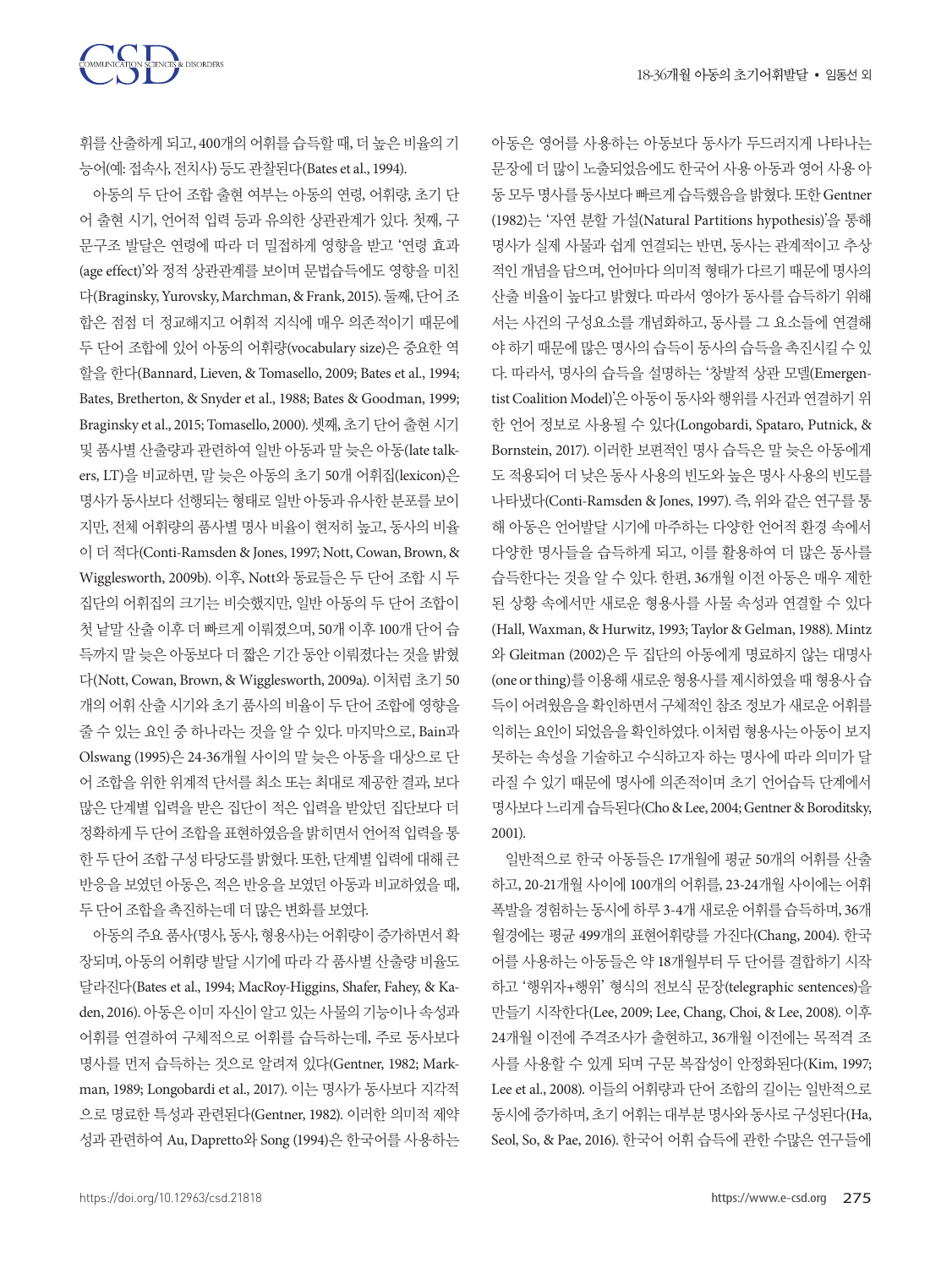



휘를 산출하게 되고, 400개의 어휘를 습득할 때, 더 높은 비율의 기 능어(예: 접속사, 전치사) 등도 관찰된다(Bates et al., 1994).

아동의 두 단어 조합 출현 여부는 아동의 연령, 어휘량, 초기 단 어 출현 시기, 언어적 입력 등과 유의한 상관관계가 있다. 첫째, 구 문구조 발달은 연령에 따라 더 밀접하게 영향을 받고 '연령 효과 (age effect)'와 정적 상관관계를 보이며 문법습득에도 영향을 미친 다(Braginsky, Yurovsky, Marchman, & Frank, 2015). 둘째, 단어조 합은 점점 더 정교해지고 어휘적 지식에 매우 의존적이기 때문에 두 단어 조합에 있어 아동의 어휘량(vocabulary size)은 중요한 역 할을 한다(Bannard, Lieven, & Tomasello, 2009; Bates et al., 1994; Bates, Bretherton, & Snyder et al., 1988; Bates & Goodman, 1999; Braginsky et al., 2015; Tomasello, 2000). 셋째, 초기 단어 출현 시기 및 품사별 산출량과 관련하여 일반 아동과 말 늦은 아동(late talkers, LT)을 비교하면, 말 늦은 아동의 초기 50개 어휘집(lexicon)은 명사가 동사보다 선행되는 형태로 일반 아동과 유사한 분포를 보이 지만, 전체 어휘량의 품사별 명사 비율이 현저히 높고, 동사의 비율 이 더 적다(Conti-Ramsden & Jones, 1997; Nott, Cowan, Brown, & Wigglesworth, 2009b). 이후, Nott와 동료들은 두 단어 조합 시 두 집단의 어휘집의 크기는 비슷했지만, 일반 아동의 두 단어 조합이 첫 낱말 산출 이후 더 빠르게 이뤄졌으며, 50개 이후 100개 단어 습 득까지 말 늦은 아동보다 더 짧은 기간 동안 이뤄졌다는 것을 밝혔 다(Nott, Cowan, Brown, & Wigglesworth, 2009a). 이처럼 초기 50 개의 어휘 산출 시기와 초기 품사의 비율이 두 단어 조합에 영향을 줄 수 있는 요인 중 하나라는 것을 알 수 있다. 마지막으로, Bain과 Olswang (1995)은 24-36개월 사이의 말 늦은 아동을 대상으로 단 어 조합을 위한 위계적 단서를 최소 또는 최대로 제공한 결과, 보다 많은 단계별 입력을 받은 집단이 적은 입력을 받았던 집단보다 더 정확하게 두 단어 조합을 표현하였음을 밝히면서 언어적 입력을 통 한 두 단어 조합 구성 타당도를 밝혔다. 또한, 단계별 입력에 대해 큰 반응을 보였던 아동은, 적은 반응을 보였던 아동과 비교하였을 때, 두단어조합을촉진하는데더많은변화를보였다.

아동의 주요 품사(명사, 동사, 형용사)는 어휘량이 증가하면서 확 장되며, 아동의 어휘량 발달 시기에 따라 각 품사별 산출량 비율도 달라진다(Bates et al., 1994; MacRoy-Higgins, Shafer, Fahey, & Kaden, 2016). 아동은 이미 자신이 알고 있는 사물의 기능이나 속성과 어휘를 연결하여 구체적으로 어휘를 습득하는데, 주로 동사보다 명사를 먼저 습득하는 것으로 알려져 있다(Gentner, 1982; Markman, 1989; Longobardi et al., 2017). 이는 명사가 동사보다 지각적 으로 명료한 특성과 관련된다(Gentner, 1982). 이러한 의미적 제약 성과 관련하여 Au, Dapretto와 Song (1994)은 한국어를 사용하는 아동은 영어를 사용하는 아동보다 동사가 두드러지게 나타나는 문장에 더 많이 노출되었음에도 한국어 사용 아동과 영어 사용 아 동모두명사를동사보다빠르게습득했음을밝혔다. 또한 Gentner (1982)는 '자연 분할 가설(Natural Partitions hypothesis)'을 통해 명사가 실제 사물과 쉽게 연결되는 반면, 동사는 관계적이고 추상 적인 개념을 담으며, 언어마다 의미적 형태가 다르기 때문에 명사의 산출 비율이 높다고 밝혔다. 따라서 영아가 동사를 습득하기 위해 서는 사건의 구성요소를 개념화하고, 동사를 그 요소들에 연결해 야 하기 때문에 많은 명사의 습득이 동사의 습득을 촉진시킬 수 있 다. 따라서, 명사의 습득을 설명하는 '창발적 상관 모델(Emergentist Coalition Model)'은 아동이 동사와 행위를 사건과 연결하기 위 한 언어 정보로 사용될 수 있다(Longobardi, Spataro, Putnick, & Bornstein, 2017). 이러한 보편적인 명사 습득은 말 늦은 아동에게 도 적용되어 더 낮은 동사 사용의 빈도와 높은 명사 사용의 빈도를 나타냈다(Conti-Ramsden & Jones, 1997). 즉, 위와 같은 연구를 통 해 아동은 언어발달 시기에 마주하는 다양한 언어적 환경 속에서 다양한 명사들을 습득하게 되고, 이를 활용하여 더 많은 동사를 습득한다는 것을 알 수 있다. 한편, 36개월 이전 아동은 매우 제한 된 상황 속에서만 새로운 형용사를 사물 속성과 연결할 수 있다 (Hall, Waxman, & Hurwitz, 1993; Taylor & Gelman, 1988). Mintz 와 Gleitman (2002)은 두 집단의 아동에게 명료하지 않는 대명사 (one or thing)를 이용해 새로운 형용사를 제시하였을 때 형용사 습 득이 어려웠음을 확인하면서 구체적인 참조 정보가 새로운 어휘를 익히는요인이되었음을확인하였다. 이처럼형용사는아동이보지 못하는 속성을 기술하고 수식하고자 하는 명사에 따라 의미가 달 라질 수 있기 때문에 명사에 의존적이며 초기 언어습득 단계에서 명사보다느리게습득된다(Cho & Lee, 2004; Gentner & Boroditsky, 2001).

일반적으로 한국 아동들은 17개월에 평균 50개의 어휘를 산출 하고, 20-21개월 사이에 100개의 어휘를, 23-24개월 사이에는 어휘 폭발을 경험하는 동시에 하루 3-4개 새로운 어휘를 습득하며, 36개 월경에는 평균 499개의 표현어휘량를 가진다(Chang, 2004). 한국 어를 사용하는 아동들은 약 18개월부터 두 단어를 결합하기 시작 하고 '행위자+행위' 형식의 전보식 문장(telegraphic sentences)을 만들기 시작한다(Lee, 2009; Lee, Chang, Choi, & Lee, 2008). 이후 24개월 이전에 주격조사가 출현하고, 36개월 이전에는 목적격 조 사를 사용할 수 있게 되며 구문 복잡성이 안정화된다(Kim, 1997; Lee et al., 2008). 이들의 어휘량과 단어 조합의 길이는 일반적으로 동시에 증가하며, 초기 어휘는 대부분 명사와 동사로 구성된다(Ha, Seol, So, & Pae, 2016). 한국어 어휘 습득에 관한 수많은 연구들에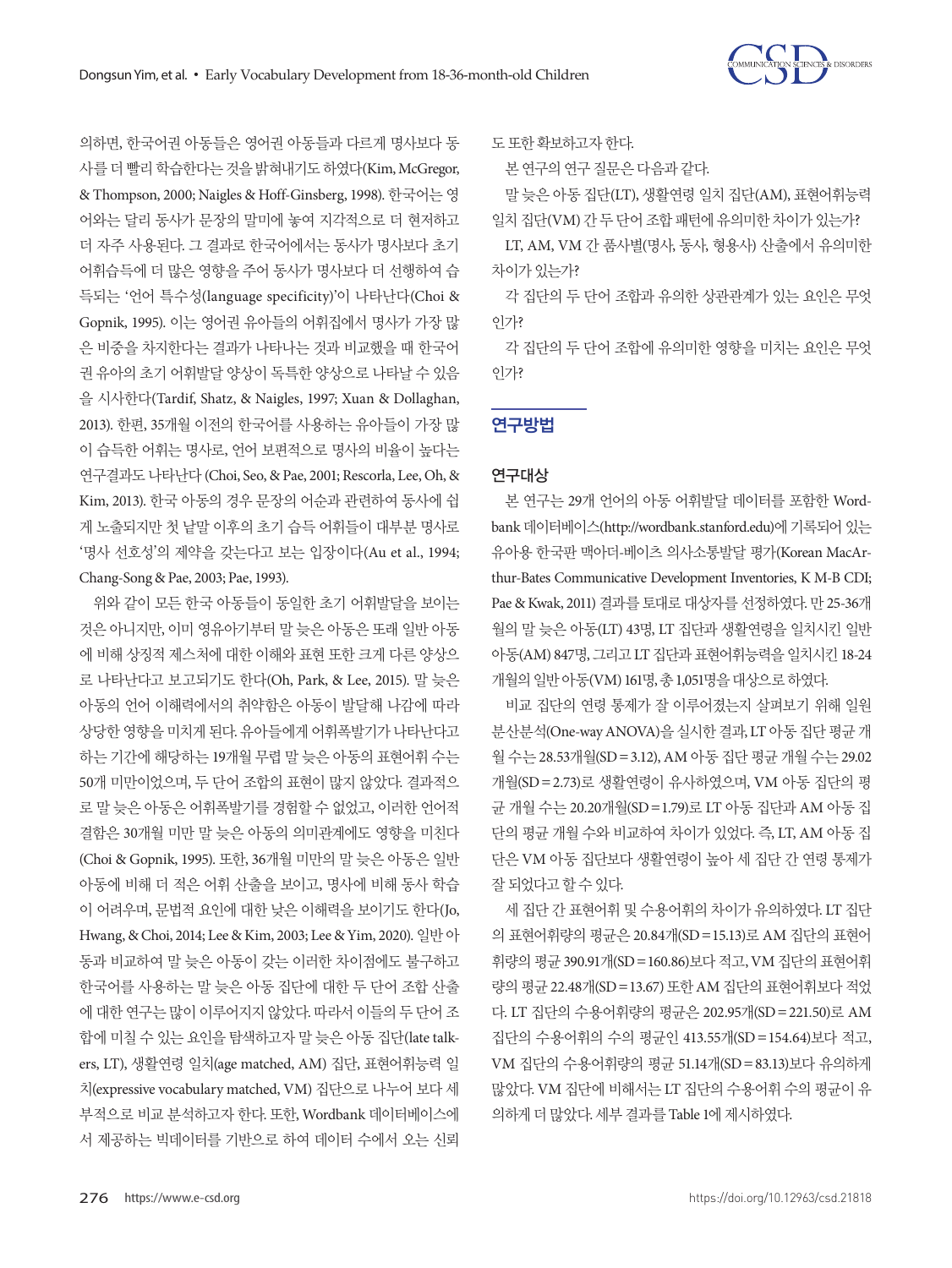

의하면, 한국어권 아동들은 영어권 아동들과 다르게 명사보다 동 사를 더 빨리 학습한다는 것을 밝혀내기도 하였다(Kim, McGregor, & Thompson, 2000; Naigles & Hoff-Ginsberg, 1998). 한국어는 영 어와는 달리 동사가 문장의 말미에 놓여 지각적으로 더 현저하고 더 자주 사용된다. 그 결과로 한국어에서는 동사가 명사보다 초기 어휘습득에 더 많은 영향을 주어 동사가 명사보다 더 선행하여 습 득되는 '언어 특수성(language specificity)'이 나타난다(Choi & Gopnik, 1995). 이는 영어권 유아들의 어휘집에서 명사가 가장 많 은 비중을 차지한다는 결과가 나타나는 것과 비교했을 때 한국어 권 유아의 초기 어휘발달 양상이 독특한 양상으로 나타날 수 있음 을 시사한다(Tardif, Shatz, & Naigles, 1997; Xuan & Dollaghan, 2013). 한편, 35개월 이전의 한국어를 사용하는 유아들이 가장 많 이 습득한 어휘는 명사로, 언어 보편적으로 명사의 비율이 높다는 연구결과도 나타난다 (Choi, Seo, & Pae, 2001; Rescorla, Lee, Oh, & Kim, 2013). 한국 아동의 경우 문장의 어순과 관련하여 동사에 쉽 게 노출되지만 첫 낱말 이후의 초기 습득 어휘들이 대부분 명사로 '명사 선호성'의 제약을 갖는다고 보는 입장이다(Au et al., 1994;

# Chang-Song & Pae, 2003; Pae, 1993).

위와 같이 모든 한국 아동들이 동일한 초기 어휘발달을 보이는 것은 아니지만, 이미 영유아기부터 말 늦은 아동은 또래 일반 아동 에 비해 상징적 제스처에 대한 이해와 표현 또한 크게 다른 양상으 로 나타난다고 보고되기도 한다(Oh, Park, & Lee, 2015). 말 늦은 아동의 언어 이해력에서의 취약함은 아동이 발달해 나감에 따라 상당한 영향을 미치게 된다. 유아들에게 어휘폭발기가 나타난다고 하는 기간에 해당하는 19개월 무렵 말 늦은 아동의 표현어휘 수는 50개 미만이었으며, 두 단어 조합의 표현이 많지 않았다. 결과적으 로 말 늦은 아동은 어휘폭발기를 경험할 수 없었고, 이러한 언어적 결함은 30개월 미만 말 늦은 아동의 의미관계에도 영향을 미친다 (Choi & Gopnik, 1995). 또한, 36개월 미만의 말 늦은 아동은 일반 아동에 비해 더 적은 어휘 산출을 보이고, 명사에 비해 동사 학습 이 어려우며, 문법적 요인에 대한 낮은 이해력을 보이기도 한다(Jo, Hwang, & Choi, 2014; Lee & Kim, 2003; Lee & Yim, 2020). 일반 아 동과 비교하여 말 늦은 아동이 갖는 이러한 차이점에도 불구하고 한국어를 사용하는 말 늦은 아동 집단에 대한 두 단어 조합 산출 에 대한 연구는 많이 이루어지지 않았다. 따라서 이들의 두 단어 조 합에 미칠 수 있는 요인을 탐색하고자 말 늦은 아동 집단(late talkers, LT), 생활연령 일치(age matched, AM) 집단, 표현어휘능력 일 치(expressive vocabulary matched, VM) 집단으로 나누어 보다 세 부적으로 비교 분석하고자 한다. 또한, Wordbank 데이터베이스에 서 제공하는 빅데이터를 기반으로 하여 데이터 수에서 오는 신뢰

도또한확보하고자한다.

본 연구의 연구 질문은 다음과 같다.

말 늦은 아동 집단(LT), 생활연령 일치 집단(AM), 표현어휘능력 일치집단(VM) 간두단어조합패턴에유의미한차이가있는가?

LT, AM, VM 간 품사별(명사, 동사, 형용사) 산출에서 유의미한 차이가있는가?

각 집단의 두 단어 조합과 유의한 상관관계가 있는 요인은 무엇 인가?

각 집단의 두 단어 조합에 유의미한 영향을 미치는 요인은 무엇 인가?

# 연구방법

# 연구대상

본 연구는 29개 언어의 아동 어휘발달 데이터를 포함한 Wordbank 데이터베이스(http://wordbank.stanford.edu)에 기록되어 있는 유아용 한국판 맥아더-베이츠 의사소통발달 평가(Korean MacArthur-Bates Communicative Development Inventories, K M-B CDI; Pae & Kwak, 2011) 결과를 토대로 대상자를 선정하였다. 만 25-36개 월의 말 늦은 아동(LT) 43명, LT 집단과 생활연령을 일치시킨 일반 아동(AM) 847명, 그리고 LT 집단과 표현어휘능력을 일치시킨 18-24 개월의일반아동(VM) 161명, 총 1,051명을대상으로하였다.

비교 집단의 연령 통제가 잘 이루어졌는지 살펴보기 위해 일원 분산분석(One-way ANOVA)을 실시한 결과, LT 아동 집단 평균 개 월 수는 28.53개월(SD=3.12), AM 아동 집단 평균 개월 수는 29.02 개월(SD=2.73)로 생활연령이 유사하였으며, VM 아동 집단의 평 균 개월 수는 20.20개월(SD=1.79)로 LT 아동 집단과 AM 아동 집 단의 평균 개월 수와 비교하여 차이가 있었다. 즉, LT, AM 아동 집 단은 VM 아동 집단보다 생활연령이 높아 세 집단 간 연령 통제가 잘되었다고할수있다.

세 집단 간 표현어휘 및 수용어휘의 차이가 유의하였다. LT 집단 의 표현어휘량의 평균은 20.84개(SD=15.13)로 AM 집단의 표현어 휘량의 평균 390.91개(SD=160.86)보다 적고, VM 집단의 표현어휘 량의 평균 22.48개(SD=13.67) 또한 AM 집단의 표현어휘보다 적었 다. LT 집단의 수용어휘량의 평균은 202.95개(SD=221.50)로 AM 집단의 수용어휘의 수의 평균인 413.55개(SD=154.64)보다 적고, VM 집단의 수용어휘량의 평균 51.14개(SD=83.13)보다 유의하게 많았다. VM 집단에 비해서는 LT 집단의 수용어휘 수의 평균이 유 의하게 더 많았다. 세부 결과를 Table 1에 제시하였다.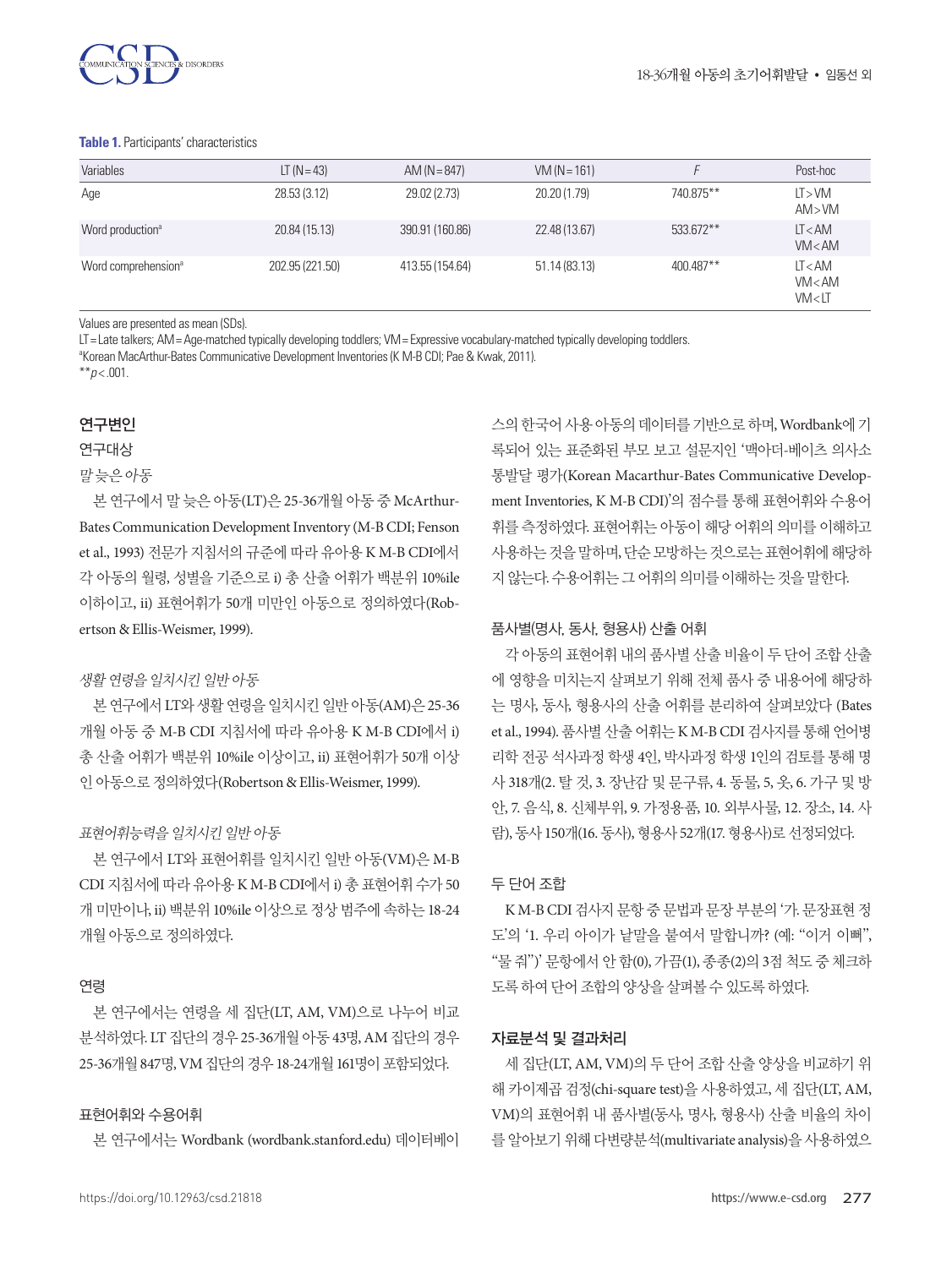

#### **Table 1.** Participants' characteristics

| Variables                       | $LT (N = 43)$   | AM ( $N = 847$ ) | $VM (N = 161)$ |           | Post-hoc                      |
|---------------------------------|-----------------|------------------|----------------|-----------|-------------------------------|
| Age                             | 28.53 (3.12)    | 29.02 (2.73)     | 20.20 (1.79)   | 740.875** | LT > VM<br>AM>VM              |
| Word production <sup>a</sup>    | 20.84 (15.13)   | 390.91 (160.86)  | 22.48 (13.67)  | 533.672** | LT < AM<br>VM < AM            |
| Word comprehension <sup>a</sup> | 202.95 (221.50) | 413.55 (154.64)  | 51.14(83.13)   | 400.487** | LT < AM<br>VM < AM<br>VM < LT |

Values are presented as mean (SDs).

LT= Late talkers; AM= Age-matched typically developing toddlers; VM= Expressive vocabulary-matched typically developing toddlers.

a Korean MacArthur-Bates Communicative Development Inventories (K M-B CDI; Pae & Kwak, 2011).

 $*$ *\*p* < .001.

# 연구변인

연구대상

말늦은아동

본 연구에서 말 늦은 아동(LT)은 25-36개월 아동 중 McArthur-Bates Communication Development Inventory (M-B CDI; Fenson et al., 1993) 전문가 지침서의 규준에 따라 유아용 K M-B CDI에서 각 아동의 월령, 성별을 기준으로 i) 총 산출 어휘가 백분위 10%ile 이하이고, ii) 표현어휘가 50개 미만인 아동으로 정의하였다(Robertson & Ellis-Weismer, 1999).

## 생활연령을일치시킨일반아동

본 연구에서 LT와 생활 연령을 일치시킨 일반 아동(AM)은 25-36 개월 아동 중 M-B CDI 지침서에 따라 유아용 K M-B CDI에서 i) 총 산출 어휘가 백분위 10%ile 이상이고, ii) 표현어휘가 50개 이상 인아동으로정의하였다(Robertson & Ellis-Weismer, 1999).

#### 표현어휘능력을 일치시킨 일반 아동

본 연구에서 LT와 표현어휘를 일치시킨 일반 아동(VM)은 M-B CDI 지침서에 따라 유아용 K M-B CDI에서 i) 총 표현어휘 수가 50 개 미만이나, ii) 백분위 10%ile 이상으로 정상 범주에 속하는 18-24 개월아동으로정의하였다.

## 연령

본 연구에서는 연령을 세 집단(LT, AM, VM)으로 나누어 비교 분석하였다. LT 집단의 경우 25-36개월 아동 43명, AM 집단의 경우 25-36개월 847명, VM 집단의경우 18-24개월 161명이포함되었다.

## 표현어휘와 수용어휘

본 연구에서는 Wordbank (wordbank.stanford.edu) 데이터베이

스의한국어사용아동의데이터를기반으로하며, Wordbank에기 록되어 있는 표준화된 부모 보고 설문지인 '맥아더-베이츠 의사소 통발달 평가(Korean Macarthur-Bates Communicative Development Inventories, K M-B CDI)'의 점수를 통해 표현어휘와 수용어 휘를 측정하였다. 표현어휘는 아동이 해당 어휘의 의미를 이해하고 사용하는 것을 말하며, 단수 모방하는 것으로는 표현어휘에 해당하 지않는다. 수용어휘는그어휘의의미를이해하는것을말한다.

## 품사별(명사, 동사, 형용사) 산출 어휘

각 아동의 표현어휘 내의 품사별 산출 비율이 두 단어 조합 산출 에 영향을 미치는지 살펴보기 위해 전체 품사 중 내용어에 해당하 는 명사, 동사, 형용사의 산출 어휘를 분리하여 살펴보았다 (Bates et al., 1994). 품사별 산출 어휘는 K M-B CDI 검사지를 통해 언어병 리학 전공 석사과정 학생 4인, 박사과정 학생 1인의 검토를 통해 명 사 318개(2. 탈 것, 3. 장난감 및 문구류, 4. 동물, 5, 옷, 6. 가구 및 방 안, 7. 음식, 8. 신체부위, 9. 가정용품, 10. 외부사물, 12. 장소, 14. 사 람), 동사 150개(16. 동사), 형용사 52개(17. 형용사)로선정되었다.

## 두 단어 조합

K M-B CDI 검사지 문항 중 문법과 문장 부분의 '가. 문장표현 정 도'의 '1. 우리 아이가 낱말을 붙여서 말합니까? (예: "이거 이뻐", "물 줘")' 문항에서 안 함(0), 가끔(1), 종종(2)의 3점 척도 중 체크하 도록 하여 단어 조합의 양상을 살펴볼 수 있도록 하였다.

## 자료분석 및 결과처리

세 집단(LT, AM, VM)의 두 단어 조합 산출 양상을 비교하기 위 해 카이제곱 검정(chi-square test)을 사용하였고, 세 집단(LT, AM, VM)의 표현어휘 내 품사별(동사, 명사, 형용사) 산출 비율의 차이 를 알아보기 위해 다변량분석(multivariate analysis)을 사용하였으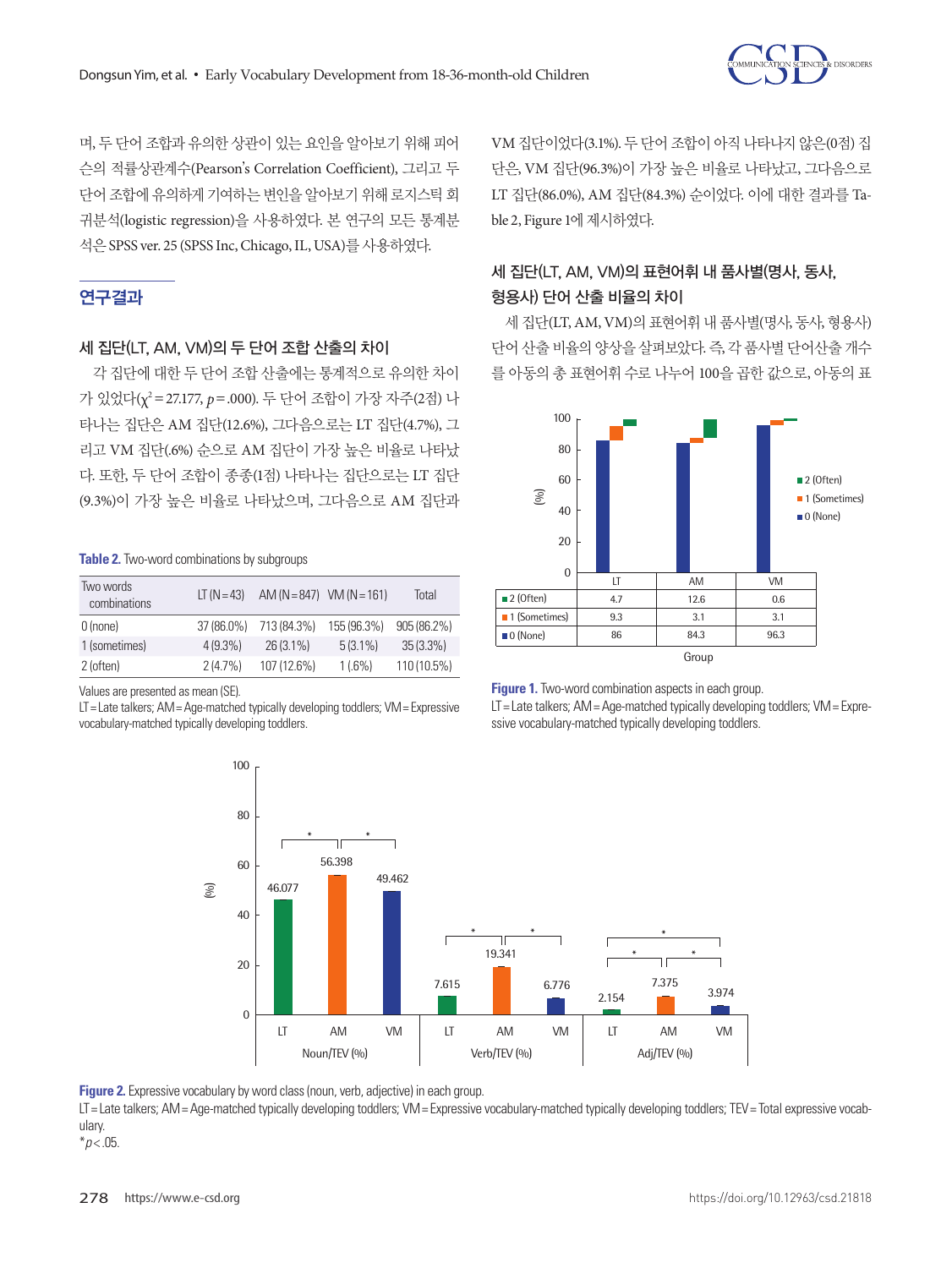

며, 두 단어 조합과 유의한 상관이 있는 요인을 알아보기 위해 피어 슨의 적률상관계수(Pearson's Correlation Coefficient), 그리고 두 단어 조합에 유의하게 기여하는 변인을 알아보기 위해 로지스틱 회 귀분석(logistic regression)을 사용하였다. 본 연구의 모든 통계분 석은 SPSS ver. 25 (SPSS Inc, Chicago, IL, USA)를사용하였다.

# 연구결과

# 세 집단(LT, AM, VM)의 두 단어 조합 산출의 차이

각 집단에 대한 두 단어 조합 산출에는 통계적으로 유의한 차이 가 있었다(χ2 =27.177, *p*=.000). 두 단어 조합이 가장 자주(2점) 나 타나는 집단은 AM 집단(12.6%), 그다음으로는 LT 집단(4.7%), 그 리고 VM 집단(.6%) 순으로 AM 집단이 가장 높은 비율로 나타났 다. 또한, 두 단어 조합이 종종(1점) 나타나는 집단으로는 LT 집단 (9.3%)이 가장 높은 비율로 나타났으며, 그다음으로 AM 집단과

### **Table 2.** Two-word combinations by subgroups

| Two words<br>combinations | $LT (N = 43)$ | $AM (N = 847)$ VM $(N = 161)$ |             | Total         |
|---------------------------|---------------|-------------------------------|-------------|---------------|
| $0$ (none)                | 37 (86.0%)    | 713 (84.3%)                   | 155 (96.3%) | $905(86.2\%)$ |
| 1 (sometimes)             | $4(9.3\%)$    | $26(3.1\%)$                   | $5(3.1\%)$  | $35(3.3\%)$   |
| 2 (often)                 | $2(4.7\%)$    | 107 (12.6%)                   | $1(.6\%)$   | 110 (10.5%)   |

Values are presented as mean (SE).

LT= Late talkers; AM= Age-matched typically developing toddlers; VM= Expressive vocabulary-matched typically developing toddlers.

VM 집단이었다(3.1%). 두 단어 조합이 아직 나타나지 않은(0점) 집 단은, VM 집단(96.3%)이 가장 높은 비율로 나타났고, 그다음으로 LT 집단(86.0%), AM 집단(84.3%) 순이었다. 이에 대한 결과를 Table 2, Figure 1에 제시하였다.

# 세 집단(LT, AM, VM)의 표현어휘 내 품사별(명사, 동사, 형용사) 단어 산출 비율의 차이

세 집단(LT, AM, VM)의 표현어휘 내 품사별(명사, 동사, 형용사) 단어 산출 비율의 양상을 살펴보았다. 즉, 각 품사별 단어산출 개수 를 아동의 총 표현어휘 수로 나누어 100을 곱한 값으로, 아동의 표



**Figure 1.** Two-word combination aspects in each group. LT= Late talkers; AM= Age-matched typically developing toddlers; VM= Expressive vocabulary-matched typically developing toddlers.



**Figure 2.** Expressive vocabulary by word class (noun, verb, adjective) in each group.

LT= Late talkers; AM= Age-matched typically developing toddlers; VM= Expressive vocabulary-matched typically developing toddlers; TEV= Total expressive vocabulary.

\**p* < .05.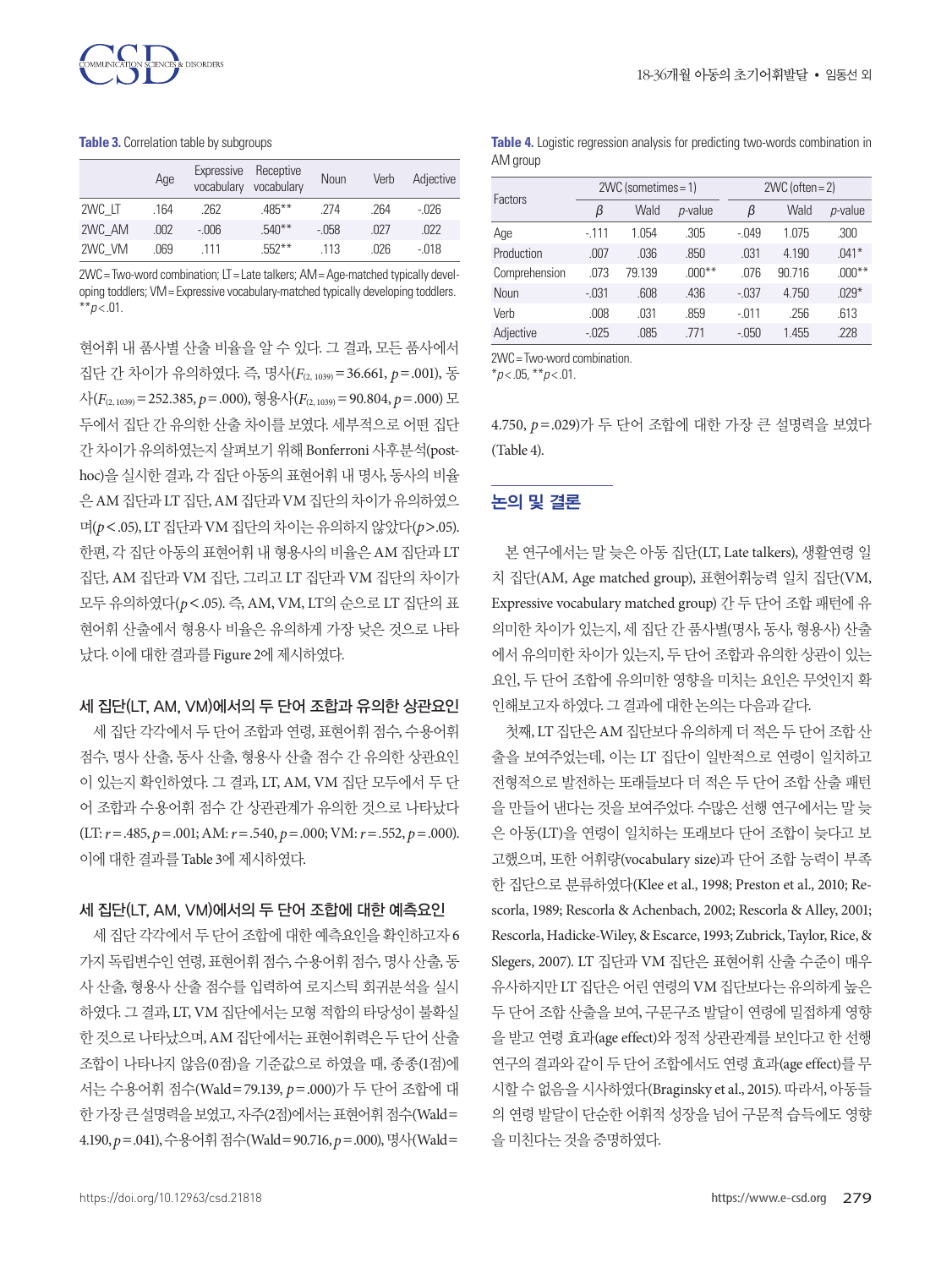

#### **Table 3.** Correlation table by subgroups

|        | Age  | Expressive | Receptive<br>vocabulary vocabulary | Noun  | Verb | Adjective |
|--------|------|------------|------------------------------------|-------|------|-----------|
| 2WC LT | .164 | .262       | $.485***$                          | .274  | .264 | $-026$    |
| 2WC AM | .002 | $-006$     | $.540**$                           | -.058 | -027 | .022      |
| 2WC VM | .069 | 111        | $552**$                            | 113   | .026 | -.018     |

2WC= Two-word combination; LT= Late talkers; AM= Age-matched typically developing toddlers; VM= Expressive vocabulary-matched typically developing toddlers.  $*$ *\*p* < .01.

현어휘 내 품사별 산출 비율을 알 수 있다. 그 결과, 모든 품사에서 집단 간 차이가 유의하였다. 즉, 명사(*F*(2, 1039)=36.661, *p*=.001), 동 사(*F*(2, 1039)=252.385, *p*=.000), 형용사(*F*(2, 1039)=90.804, *p*=.000) 모 두에서 집단 간 유의한 산출 차이를 보였다. 세부적으로 어떤 집단 간 차이가 유의하였는지 살펴보기 위해 Bonferroni 사후분석(posthoc)을 실시한 결과, 각 집단 아동의 표현어휘 내 명사, 동사의 비율 은 AM 집단과 LT 집단, AM 집단과 VM 집단의차이가유의하였으 며(*p*<.05), LT 집단과 VM 집단의차이는유의하지않았다(*p*>.05). 한편, 각 집단 아동의 표현어휘 내 형용사의 비율은 AM 집단과 LT 집단, AM 집단과 VM 집단, 그리고 LT 집단과 VM 집단의 차이가 모두 유의하였다(*p*<.05). 즉, AM, VM, LT의 순으로 LT 집단의 표 현어휘 산출에서 형용사 비율은 유의하게 가장 낮은 것으로 나타 났다. 이에대한결과를 Figure 2에제시하였다.

#### 세 집단(LT, AM, VM)에서의 두 단어 조합과 유의한 상관요인

세 집단 각각에서 두 단어 조합과 연령, 표현어휘 점수, 수용어휘 점수, 명사 산출, 동사 산출, 형용사 산출 점수 간 유의한 상관요인 이 있는지 확인하였다. 그 결과, LT, AM, VM 집단 모두에서 두 단 어 조합과 수용어휘 점수 간 상관관계가 유의한 것으로 나타났다  $(LT: r = .485, p = .001; AM: r = .540, p = .000; VM: r = .552, p = .000).$ 이에대한결과를 Table 3에제시하였다.

# 세 집단(LT, AM, VM)에서의 두 단어 조합에 대한 예측요인

세 집단 각각에서 두 단어 조합에 대한 예측요인을 확인하고자 6 가지 독립변수인 연령, 표현어휘 점수, 수용어휘 점수, 명사 산출, 동 사 산출, 형용사 산출 점수를 입력하여 로지스틱 회귀분석을 실시 하였다. 그 결과, LT, VM 집단에서는 모형 적합의 타당성이 불확실 한 것으로 나타났으며, AM 집단에서는 표현어휘력은 두 단어 산출 조합이 나타나지 않음(0점)을 기준값으로 하였을 때, 종종(1점)에 서는 수용어휘 점수(Wald=79.139, *p*=.000)가 두 단어 조합에 대 한 가장 큰 설명력을 보였고, 자주(2점)에서는 표현어휘 점수(Wald= 4.190, *p*=.041), 수용어휘점수(Wald=90.716, *p*=.000), 명사(Wald=

**Table 4.** Logistic regression analysis for predicting two-words combination in AM group

| Factors       | $2WC$ (sometimes = 1) |        |                 | $2WC$ (often = 2) |        |                 |
|---------------|-----------------------|--------|-----------------|-------------------|--------|-----------------|
|               | β                     | Wald   | <i>p</i> -value | β                 | Wald   | <i>p</i> -value |
| Age           | $-111$                | 1.054  | .305            | $-.049$           | 1.075  | .300            |
| Production    | .007                  | .036   | .850            | .031              | 4.190  | $.041*$         |
| Comprehension | .073                  | 79.139 | $.000**$        | .076              | 90.716 | $.000***$       |
| Noun          | $-.031$               | .608   | .436            | $-.037$           | 4.750  | $.029*$         |
| Verb          | .008                  | .031   | .859            | $-.011$           | .256   | .613            |
| Adjective     | $-0.025$              | .085   | 771             | $-.050$           | 1.455  | .228            |

2WC= Two-word combination.

 $*_{p<.05}$ ,  $*_{p<.01}$ .

4.750, *p*=.029)가 두 단어 조합에 대한 가장 큰 설명력을 보였다 (Table 4).

# 논의 및 결론

본 연구에서는 말 늦은 아동 집단(LT, Late talkers), 생활연령 일 치 집단(AM, Age matched group), 표현어휘능력 일치 집단(VM, Expressive vocabulary matched group) 간 두 단어 조합 패턴에 유 의미한 차이가 있는지, 세 집단 간 품사별(명사, 동사, 형용사) 산출 에서 유의미한 차이가 있는지, 두 단어 조합과 유의한 상관이 있는 요인, 두 단어 조합에 유의미한 영향을 미치는 요인은 무엇인지 확 인해보고자하였다. 그결과에대한논의는다음과같다.

첫째, LT 집단은 AM 집단보다 유의하게 더 적은 두 단어 조합 산 출을 보여주었는데, 이는 LT 집단이 일반적으로 연령이 일치하고 전형적으로 발전하는 또래들보다 더 적은 두 단어 조합 산출 패턴 을 만들어 낸다는 것을 보여주었다. 수많은 선행 연구에서는 말 늦 은 아동(LT)을 연령이 일치하는 또래보다 단어 조합이 늦다고 보 고했으며, 또한 어휘량(vocabulary size)과 단어 조합 능력이 부족 한 집단으로 분류하였다(Klee et al., 1998; Preston et al., 2010; Rescorla, 1989; Rescorla & Achenbach, 2002; Rescorla & Alley, 2001; Rescorla, Hadicke-Wiley, & Escarce, 1993; Zubrick, Taylor, Rice, & Slegers, 2007). LT 집단과 VM 집단은 표현어휘 산출 수준이 매우 유사하지만 LT 집단은 어린 연령의 VM 집단보다는 유의하게 높은 두 단어 조합 산출을 보여, 구문구조 발달이 연령에 밀접하게 영향 을 받고 연령 효과(age effect)와 정적 상관관계를 보인다고 한 선행 연구의 결과와 같이 두 단어 조합에서도 연령 효과(age effect)를 무 시할 수 없음을 시사하였다(Braginsky et al., 2015). 따라서, 아동들 의 연령 발달이 단순한 어휘적 성장을 넘어 구문적 습득에도 영향 을미친다는것을증명하였다.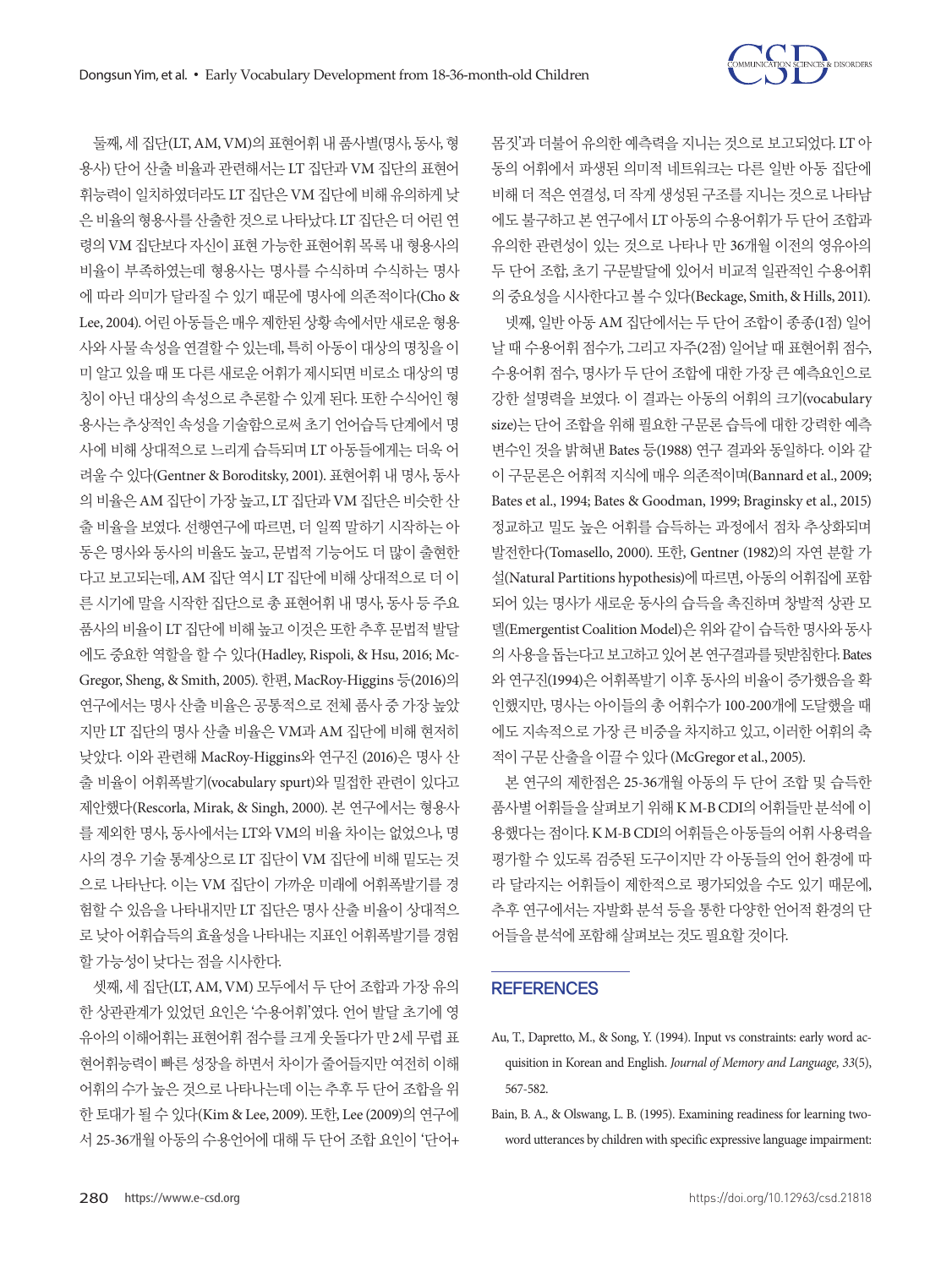

몸짓'과 더불어 유의한 예측력을 지니는 것으로 보고되었다. LT 아 동의 어휘에서 파생된 의미적 네트워크는 다른 일반 아동 집단에 비해 더 적은 연결성, 더 작게 생성된 구조를 지니는 것으로 나타남 에도 불구하고 본 연구에서 LT 아동의 수용어휘가 두 단어 조합과 유의한 관련성이 있는 것으로 나타나 만 36개월 이전의 영유아의 두 단어 조합, 초기 구문발달에 있어서 비교적 일관적인 수용어휘 의중요성을시사한다고볼수있다(Beckage, Smith, & Hills, 2011). 넷째, 일반 아동 AM 집단에서는 두 단어 조합이 종종(1점) 일어 날 때 수용어휘 점수가, 그리고 자주(2점) 일어날 때 표현어휘 점수, 수용어휘 점수, 명사가 두 단어 조합에 대한 가장 큰 예측요인으로 강한 설명력을 보였다. 이 결과는 아동의 어휘의 크기(vocabulary size)는 단어 조합을 위해 필요한 구문론 습득에 대한 강력한 예측 변수인 것을 밝혀낸 Bates 등(1988) 연구 결과와 동일하다. 이와 같 이 구문론은 어휘적 지식에 매우 의존적이며(Bannard et al., 2009; Bates et al., 1994; Bates & Goodman, 1999; Braginsky et al., 2015) 정교하고 밀도 높은 어휘를 습득하는 과정에서 점차 추상화되며 발전한다(Tomasello, 2000). 또한, Gentner (1982)의 자연 분할 가 설(Natural Partitions hypothesis)에 따르면, 아동의 어휘집에 포함 되어 있는 명사가 새로운 동사의 습득을 촉진하며 창발적 상관 모 델(Emergentist Coalition Model)은 위와 같이 습득한 명사와 동사 의 사용을 돕는다고 보고하고 있어 본 연구결과를 뒷받침한다. Bates 와 연구진(1994)은 어휘폭발기 이후 동사의 비율이 증가했음을 확 인했지만, 명사는 아이들의 총 어휘수가 100-200개에 도달했을 때 에도 지속적으로 가장 큰 비중을 차지하고 있고, 이러한 어휘의 축 적이구문산출을이끌수있다 (McGregor et al., 2005).

본 연구의 제한점은 25-36개월 아동의 두 단어 조합 및 습득한 품사별 어휘들을 살펴보기 위해 K M-B CDI의 어휘들만 분석에 이 용했다는 점이다. K M-B CDI의 어휘들은 아동들의 어휘 사용력을 평가할 수 있도록 검증된 도구이지만 각 아동들의 언어 환경에 따 라 달라지는 어휘들이 제한적으로 평가되었을 수도 있기 때문에, 추후 연구에서는 자발화 분석 등을 통한 다양한 언어적 환경의 단 어들을분석에포함해살펴보는것도필요할것이다.

# **REFERENCES**

- Au, T., Dapretto, M., & Song, Y. (1994). Input vs constraints: early word acquisition in Korean and English. *Journal of Memory and Language, 33*(5), 567-582.
- Bain, B. A., & Olswang, L. B. (1995). Examining readiness for learning twoword utterances by children with specific expressive language impairment:

둘째, 세 집단(LT, AM, VM)의 표현어휘 내 품사별(명사, 동사, 형 용사) 단어 산출 비율과 관련해서는 LT 집단과 VM 집단의 표현어 휘능력이 일치하였더라도 LT 집단은 VM 집단에 비해 유의하게 낮 은 비율의 형용사를 사출한 것으로 나타났다. LT 집단은 더 어린 연 령의 VM 집단보다 자신이 표현 가능한 표현어휘 목록 내 형용사의 비율이 부족하였는데 형용사는 명사를 수식하며 수식하는 명사 에 따라 의미가 달라질 수 있기 때문에 명사에 의존적이다(Cho & Lee, 2004). 어린 아동들은 매우 제한된 상황 속에서만 새로운 형용 사와 사물 속성을 연결할 수 있는데, 특히 아동이 대상의 명칭을 이 미 알고 있을 때 또 다른 새로운 어휘가 제시되면 비로소 대상의 명 칭이 아닌 대상의 속성으로 추론할 수 있게 된다. 또한 수식어인 형 용사는 추상적인 속성을 기술함으로써 초기 언어습득 단계에서 명 사에 비해 상대적으로 느리게 습득되며 LT 아동들에게는 더욱 어 려울 수 있다(Gentner & Boroditsky, 2001). 표현어휘 내 명사, 동사 의 비율은 AM 집단이 가장 높고, LT 집단과 VM 집단은 비슷한 산 출 비율을 보였다. 선행연구에 따르면, 더 일찍 말하기 시작하는 아 동은 명사와 동사의 비율도 높고, 문법적 기능어도 더 많이 출현한 다고 보고되는데, AM 집단 역시 LT 집단에 비해 상대적으로 더 이 른 시기에 말을 시작한 집단으로 총 표현어휘 내 명사, 동사 등 주요 품사의 비율이 LT 집단에 비해 높고 이것은 또한 추후 문법적 발달 에도 중요한 역할을 할 수 있다(Hadley, Rispoli, & Hsu, 2016; Mc-Gregor, Sheng, & Smith, 2005). 한편, MacRoy-Higgins 등(2016)의 연구에서는 명사 산출 비율은 공통적으로 전체 품사 중 가장 높았 지만 LT 집단의 명사 산출 비율은 VM과 AM 집단에 비해 현저히 낮았다. 이와 관련해 MacRoy-Higgins와 연구진 (2016)은 명사 산 출 비율이 어휘폭발기(vocabulary spurt)와 밀접한 관련이 있다고 제안했다(Rescorla, Mirak, & Singh, 2000). 본 연구에서는 형용사 를 제외한 명사, 동사에서는 LT와 VM의 비율 차이는 없었으나, 명 사의 경우 기술 통계상으로 LT 집단이 VM 집단에 비해 밑도는 것 으로 나타난다. 이는 VM 집단이 가까운 미래에 어휘폭발기를 경 험할 수 있음을 나타내지만 LT 집단은 명사 산출 비율이 상대적으 로 낮아 어휘습득의 효율성을 나타내는 지표인 어휘폭발기를 경험 할가능성이낮다는점을시사한다.

셋째, 세 집단(LT, AM, VM) 모두에서 두 단어 조합과 가장 유의 한 상관관계가 있었던 요인은 '수용어휘'였다. 언어 발달 초기에 영 유아의 이해어휘는 표현어휘 점수를 크게 웃돌다가 만 2세 무렵 표 현어휘능력이 빠른 성장을 하면서 차이가 줄어들지만 여전히 이해 어휘의 수가 높은 것으로 나타나는데 이는 추후 두 단어 조합을 위 한 토대가 될 수 있다(Kim & Lee, 2009). 또한, Lee (2009)의 연구에 서 25-36개월 아동의 수용언어에 대해 두 단어 조합 요인이 '단어+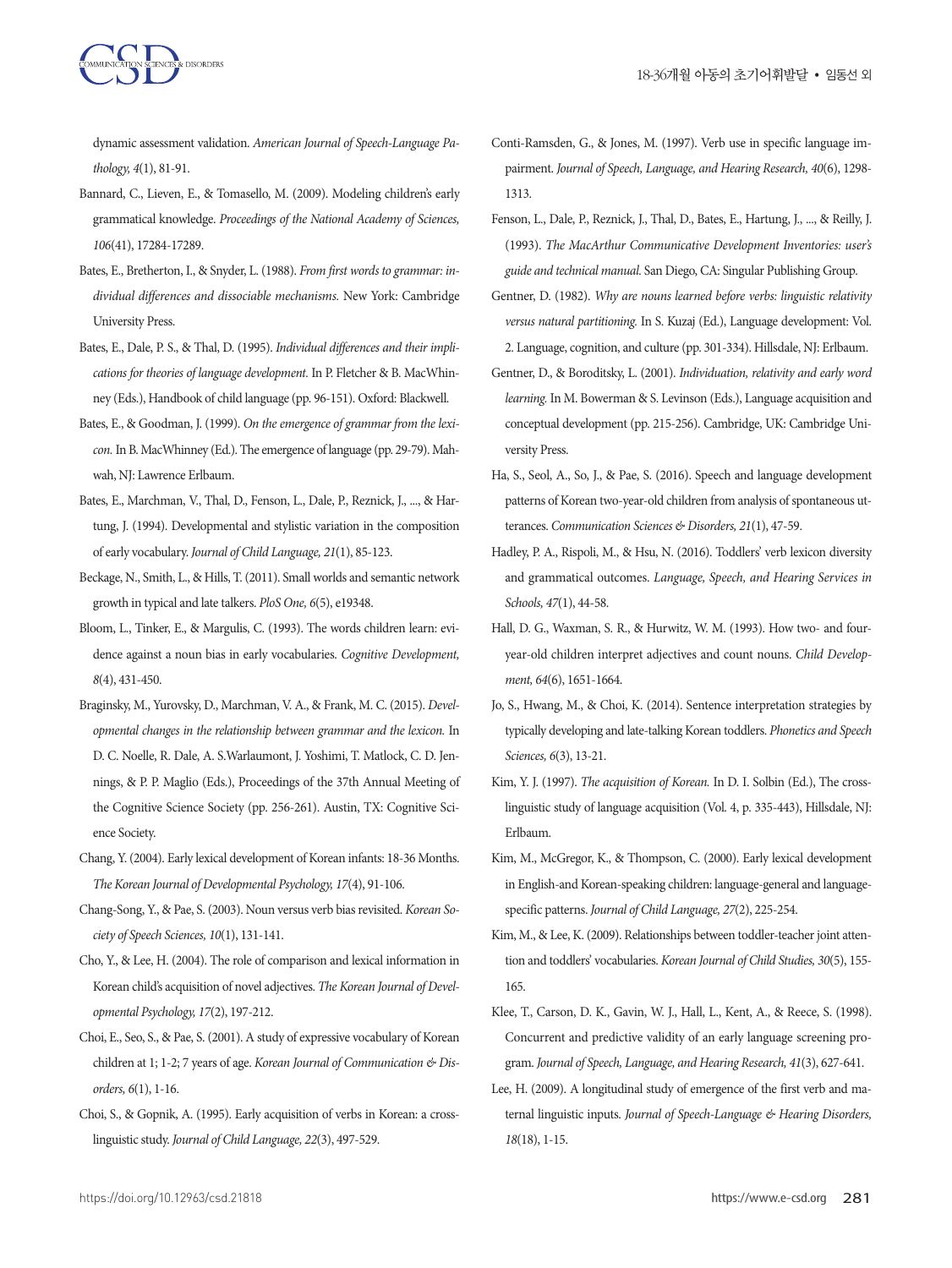dynamic assessment validation. *American Journal of Speech-Language Pathology, 4*(1), 81-91.

- Bannard, C., Lieven, E., & Tomasello, M. (2009). Modeling children's early grammatical knowledge. *Proceedings of the National Academy of Sciences, 106*(41), 17284-17289.
- Bates, E., Bretherton, I., & Snyder, L. (1988). *From first words to grammar: individual differences and dissociable mechanisms.* New York: Cambridge University Press.
- Bates, E., Dale, P. S., & Thal, D. (1995). *Individual differences and their implications for theories of language development.* In P. Fletcher & B. MacWhinney (Eds.), Handbook of child language (pp. 96-151). Oxford: Blackwell.
- Bates, E., & Goodman, J. (1999). *On the emergence of grammar from the lexicon.* In B. MacWhinney (Ed.). The emergence of language (pp. 29-79). Mahwah, NJ: Lawrence Erlbaum.
- Bates, E., Marchman, V., Thal, D., Fenson, L., Dale, P., Reznick, J., ..., & Hartung, J. (1994). Developmental and stylistic variation in the composition of early vocabulary. *Journal of Child Language, 21*(1), 85-123.
- Beckage, N., Smith, L., & Hills, T. (2011). Small worlds and semantic network growth in typical and late talkers. *PloS One, 6*(5), e19348.
- Bloom, L., Tinker, E., & Margulis, C. (1993). The words children learn: evidence against a noun bias in early vocabularies. *Cognitive Development, 8*(4), 431-450.
- Braginsky, M., Yurovsky, D., Marchman, V. A., & Frank, M. C. (2015). *Developmental changes in the relationship between grammar and the lexicon.* In D. C. Noelle, R. Dale, A. S.Warlaumont, J. Yoshimi, T. Matlock, C. D. Jennings, & P. P. Maglio (Eds.), Proceedings of the 37th Annual Meeting of the Cognitive Science Society (pp. 256-261). Austin, TX: Cognitive Science Society.
- Chang, Y. (2004). Early lexical development of Korean infants: 18-36 Months. *The Korean Journal of Developmental Psychology, 17*(4), 91-106.
- Chang-Song, Y., & Pae, S. (2003). Noun versus verb bias revisited. *Korean Society of Speech Sciences, 10*(1), 131-141.
- Cho, Y., & Lee, H. (2004). The role of comparison and lexical information in Korean child's acquisition of novel adjectives. *The Korean Journal of Developmental Psychology, 17*(2), 197-212.
- Choi, E., Seo, S., & Pae, S. (2001). A study of expressive vocabulary of Korean children at 1; 1-2; 7 years of age. *Korean Journal of Communication & Disorders, 6*(1), 1-16.
- Choi, S., & Gopnik, A. (1995). Early acquisition of verbs in Korean: a crosslinguistic study. *Journal of Child Language, 22*(3), 497-529.
- Conti-Ramsden, G., & Jones, M. (1997). Verb use in specific language impairment. *Journal of Speech, Language, and Hearing Research, 40*(6), 1298- 1313.
- Fenson, L., Dale, P., Reznick, J., Thal, D., Bates, E., Hartung, J., ..., & Reilly, J. (1993). *The MacArthur Communicative Development Inventories: user's guide and technical manual.* San Diego, CA: Singular Publishing Group.
- Gentner, D. (1982). *Why are nouns learned before verbs: linguistic relativity versus natural partitioning.* In S. Kuzaj (Ed.), Language development: Vol. 2. Language, cognition, and culture (pp. 301-334). Hillsdale, NJ: Erlbaum.
- Gentner, D., & Boroditsky, L. (2001). *Individuation, relativity and early word learning.* In M. Bowerman & S. Levinson (Eds.), Language acquisition and conceptual development (pp. 215-256). Cambridge, UK: Cambridge University Press.
- Ha, S., Seol, A., So, J., & Pae, S. (2016). Speech and language development patterns of Korean two-year-old children from analysis of spontaneous utterances. *Communication Sciences & Disorders, 21*(1), 47-59.
- Hadley, P. A., Rispoli, M., & Hsu, N. (2016). Toddlers' verb lexicon diversity and grammatical outcomes. *Language, Speech, and Hearing Services in Schools, 47*(1), 44-58.
- Hall, D. G., Waxman, S. R., & Hurwitz, W. M. (1993). How two- and fouryear-old children interpret adjectives and count nouns. *Child Development, 64*(6), 1651-1664.
- Jo, S., Hwang, M., & Choi, K. (2014). Sentence interpretation strategies by typically developing and late-talking Korean toddlers. *Phonetics and Speech Sciences, 6*(3), 13-21.
- Kim, Y. J. (1997). *The acquisition of Korean.* In D. I. Solbin (Ed.), The crosslinguistic study of language acquisition (Vol. 4, p. 335-443), Hillsdale, NJ: Erlbaum.
- Kim, M., McGregor, K., & Thompson, C. (2000). Early lexical development in English-and Korean-speaking children: language-general and languagespecific patterns. *Journal of Child Language, 27*(2), 225-254.
- Kim, M., & Lee, K. (2009). Relationships between toddler-teacher joint attention and toddlers' vocabularies. *Korean Journal of Child Studies, 30*(5), 155- 165.
- Klee, T., Carson, D. K., Gavin, W. J., Hall, L., Kent, A., & Reece, S. (1998). Concurrent and predictive validity of an early language screening program. *Journal of Speech, Language, and Hearing Research, 41*(3), 627-641.
- Lee, H. (2009). A longitudinal study of emergence of the first verb and maternal linguistic inputs. *Journal of Speech-Language & Hearing Disorders, 18*(18), 1-15.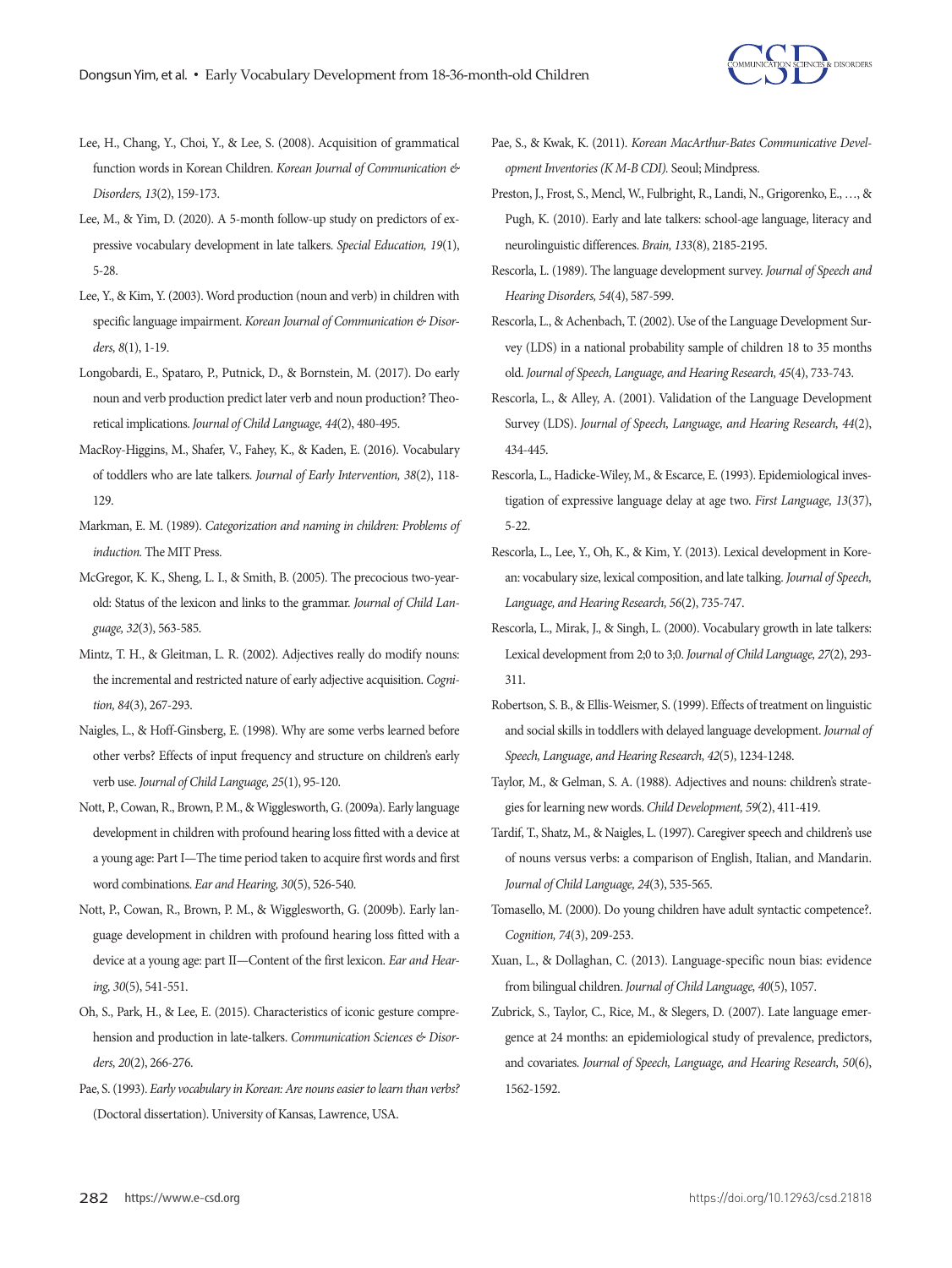

- Lee, H., Chang, Y., Choi, Y., & Lee, S. (2008). Acquisition of grammatical function words in Korean Children. *Korean Journal of Communication & Disorders, 13*(2), 159-173.
- Lee, M., & Yim, D. (2020). A 5-month follow-up study on predictors of expressive vocabulary development in late talkers. *Special Education, 19*(1), 5-28.
- Lee, Y., & Kim, Y. (2003). Word production (noun and verb) in children with specific language impairment. *Korean Journal of Communication & Disorders, 8*(1), 1-19.
- Longobardi, E., Spataro, P., Putnick, D., & Bornstein, M. (2017). Do early noun and verb production predict later verb and noun production? Theoretical implications. *Journal of Child Language, 44*(2), 480-495.
- MacRoy-Higgins, M., Shafer, V., Fahey, K., & Kaden, E. (2016). Vocabulary of toddlers who are late talkers. *Journal of Early Intervention, 38*(2), 118- 129.
- Markman, E. M. (1989). *Categorization and naming in children: Problems of induction.* The MIT Press.
- McGregor, K. K., Sheng, L. I., & Smith, B. (2005). The precocious two-yearold: Status of the lexicon and links to the grammar. *Journal of Child Language, 32*(3), 563-585.
- Mintz, T. H., & Gleitman, L. R. (2002). Adjectives really do modify nouns: the incremental and restricted nature of early adjective acquisition. *Cognition, 84*(3), 267-293.
- Naigles, L., & Hoff-Ginsberg, E. (1998). Why are some verbs learned before other verbs? Effects of input frequency and structure on children's early verb use. *Journal of Child Language, 25*(1), 95-120.
- Nott, P., Cowan, R., Brown, P. M., & Wigglesworth, G. (2009a). Early language development in children with profound hearing loss fitted with a device at a young age: Part I—The time period taken to acquire first words and first word combinations. *Ear and Hearing, 30*(5), 526-540.
- Nott, P., Cowan, R., Brown, P. M., & Wigglesworth, G. (2009b). Early language development in children with profound hearing loss fitted with a device at a young age: part II—Content of the first lexicon. *Ear and Hearing, 30*(5), 541-551.
- Oh, S., Park, H., & Lee, E. (2015). Characteristics of iconic gesture comprehension and production in late-talkers. *Communication Sciences & Disorders, 20*(2), 266-276.
- Pae, S. (1993). *Early vocabulary in Korean: Are nouns easier to learn than verbs?* (Doctoral dissertation). University of Kansas, Lawrence, USA.
- Pae, S., & Kwak, K. (2011). *Korean MacArthur-Bates Communicative Development Inventories (K M-B CDI).* Seoul; Mindpress.
- Preston, J., Frost, S., Mencl, W., Fulbright, R., Landi, N., Grigorenko, E., …, & Pugh, K. (2010). Early and late talkers: school-age language, literacy and neurolinguistic differences. *Brain, 133*(8), 2185-2195.
- Rescorla, L. (1989). The language development survey. *Journal of Speech and Hearing Disorders, 54*(4), 587-599.
- Rescorla, L., & Achenbach, T. (2002). Use of the Language Development Survey (LDS) in a national probability sample of children 18 to 35 months old. *Journal of Speech, Language, and Hearing Research, 45*(4), 733-743.
- Rescorla, L., & Alley, A. (2001). Validation of the Language Development Survey (LDS). *Journal of Speech, Language, and Hearing Research, 44*(2), 434-445.
- Rescorla, L., Hadicke-Wiley, M., & Escarce, E. (1993). Epidemiological investigation of expressive language delay at age two. *First Language, 13*(37), 5-22.
- Rescorla, L., Lee, Y., Oh, K., & Kim, Y. (2013). Lexical development in Korean: vocabulary size, lexical composition, and late talking. *Journal of Speech, Language, and Hearing Research, 56*(2), 735-747.
- Rescorla, L., Mirak, J., & Singh, L. (2000). Vocabulary growth in late talkers: Lexical development from 2;0 to 3;0. *Journal of Child Language, 27*(2), 293- 311.
- Robertson, S. B., & Ellis-Weismer, S. (1999). Effects of treatment on linguistic and social skills in toddlers with delayed language development. *Journal of Speech, Language, and Hearing Research, 42*(5), 1234-1248.
- Taylor, M., & Gelman, S. A. (1988). Adjectives and nouns: children's strategies for learning new words. *Child Development, 59*(2), 411-419.
- Tardif, T., Shatz, M., & Naigles, L. (1997). Caregiver speech and children's use of nouns versus verbs: a comparison of English, Italian, and Mandarin. *Journal of Child Language, 24*(3), 535-565.
- Tomasello, M. (2000). Do young children have adult syntactic competence?. *Cognition, 74*(3), 209-253.
- Xuan, L., & Dollaghan, C. (2013). Language-specific noun bias: evidence from bilingual children. *Journal of Child Language, 40*(5), 1057.
- Zubrick, S., Taylor, C., Rice, M., & Slegers, D. (2007). Late language emergence at 24 months: an epidemiological study of prevalence, predictors, and covariates. *Journal of Speech, Language, and Hearing Research, 50*(6), 1562-1592.